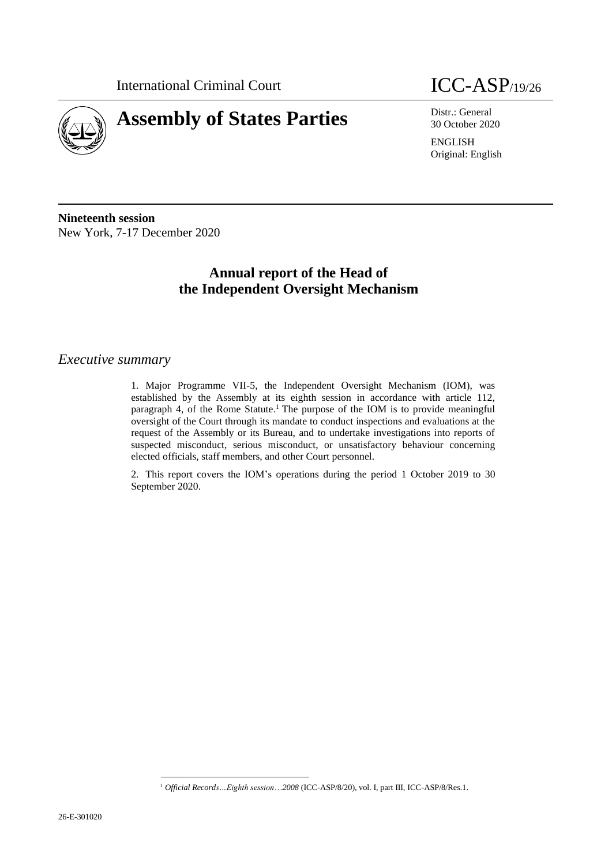

30 October 2020

ENGLISH Original: English

**Nineteenth session** New York, 7-17 December 2020

# **Annual report of the Head of the Independent Oversight Mechanism**

## *Executive summary*

1. Major Programme VII-5, the Independent Oversight Mechanism (IOM), was established by the Assembly at its eighth session in accordance with article 112, paragraph 4, of the Rome Statute.<sup>1</sup> The purpose of the IOM is to provide meaningful oversight of the Court through its mandate to conduct inspections and evaluations at the request of the Assembly or its Bureau, and to undertake investigations into reports of suspected misconduct, serious misconduct, or unsatisfactory behaviour concerning elected officials, staff members, and other Court personnel.

2. This report covers the IOM's operations during the period 1 October 2019 to 30 September 2020.

<sup>1</sup> *Official Records…Eighth session*…*2008* (ICC-ASP/8/20), vol. I, part III, ICC-ASP/8/Res.1.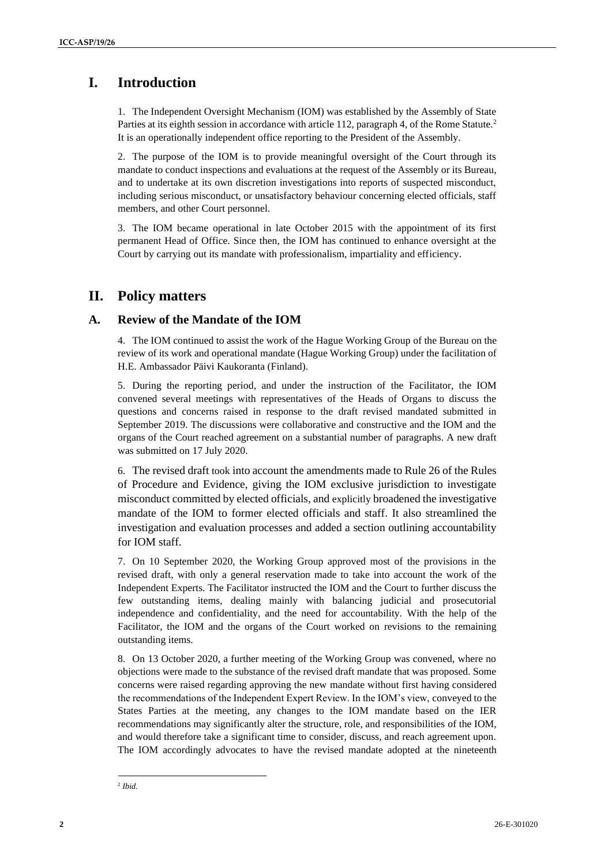# **I. Introduction**

1. The Independent Oversight Mechanism (IOM) was established by the Assembly of State Parties at its eighth session in accordance with article 112, paragraph 4, of the Rome Statute.<sup>2</sup> It is an operationally independent office reporting to the President of the Assembly.

2. The purpose of the IOM is to provide meaningful oversight of the Court through its mandate to conduct inspections and evaluations at the request of the Assembly or its Bureau, and to undertake at its own discretion investigations into reports of suspected misconduct, including serious misconduct, or unsatisfactory behaviour concerning elected officials, staff members, and other Court personnel.

3. The IOM became operational in late October 2015 with the appointment of its first permanent Head of Office. Since then, the IOM has continued to enhance oversight at the Court by carrying out its mandate with professionalism, impartiality and efficiency.

# **II. Policy matters**

## **A. Review of the Mandate of the IOM**

4. The IOM continued to assist the work of the Hague Working Group of the Bureau on the review of its work and operational mandate (Hague Working Group) under the facilitation of H.E. Ambassador Päivi Kaukoranta (Finland).

5. During the reporting period, and under the instruction of the Facilitator, the IOM convened several meetings with representatives of the Heads of Organs to discuss the questions and concerns raised in response to the draft revised mandated submitted in September 2019. The discussions were collaborative and constructive and the IOM and the organs of the Court reached agreement on a substantial number of paragraphs. A new draft was submitted on 17 July 2020.

6. The revised draft took into account the amendments made to Rule 26 of the Rules of Procedure and Evidence, giving the IOM exclusive jurisdiction to investigate misconduct committed by elected officials, and explicitly broadened the investigative mandate of the IOM to former elected officials and staff. It also streamlined the investigation and evaluation processes and added a section outlining accountability for IOM staff.

7. On 10 September 2020, the Working Group approved most of the provisions in the revised draft, with only a general reservation made to take into account the work of the Independent Experts. The Facilitator instructed the IOM and the Court to further discuss the few outstanding items, dealing mainly with balancing judicial and prosecutorial independence and confidentiality, and the need for accountability. With the help of the Facilitator, the IOM and the organs of the Court worked on revisions to the remaining outstanding items.

8. On 13 October 2020, a further meeting of the Working Group was convened, where no objections were made to the substance of the revised draft mandate that was proposed. Some concerns were raised regarding approving the new mandate without first having considered the recommendations of the Independent Expert Review. In the IOM's view, conveyed to the States Parties at the meeting, any changes to the IOM mandate based on the IER recommendations may significantly alter the structure, role, and responsibilities of the IOM, and would therefore take a significant time to consider, discuss, and reach agreement upon. The IOM accordingly advocates to have the revised mandate adopted at the nineteenth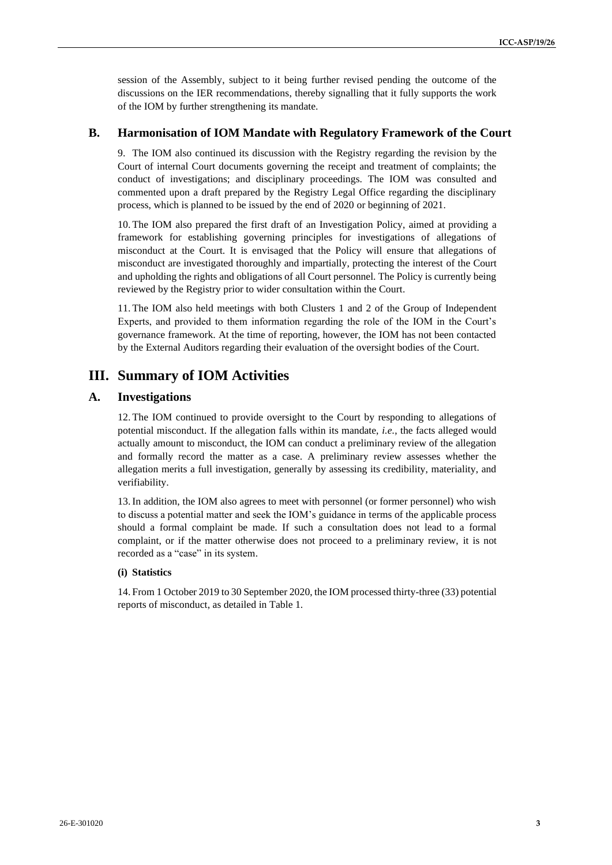session of the Assembly, subject to it being further revised pending the outcome of the discussions on the IER recommendations, thereby signalling that it fully supports the work of the IOM by further strengthening its mandate.

#### **B. Harmonisation of IOM Mandate with Regulatory Framework of the Court**

9. The IOM also continued its discussion with the Registry regarding the revision by the Court of internal Court documents governing the receipt and treatment of complaints; the conduct of investigations; and disciplinary proceedings. The IOM was consulted and commented upon a draft prepared by the Registry Legal Office regarding the disciplinary process, which is planned to be issued by the end of 2020 or beginning of 2021.

10. The IOM also prepared the first draft of an Investigation Policy, aimed at providing a framework for establishing governing principles for investigations of allegations of misconduct at the Court. It is envisaged that the Policy will ensure that allegations of misconduct are investigated thoroughly and impartially, protecting the interest of the Court and upholding the rights and obligations of all Court personnel. The Policy is currently being reviewed by the Registry prior to wider consultation within the Court.

11. The IOM also held meetings with both Clusters 1 and 2 of the Group of Independent Experts, and provided to them information regarding the role of the IOM in the Court's governance framework. At the time of reporting, however, the IOM has not been contacted by the External Auditors regarding their evaluation of the oversight bodies of the Court.

# **III. Summary of IOM Activities**

#### **A. Investigations**

12. The IOM continued to provide oversight to the Court by responding to allegations of potential misconduct. If the allegation falls within its mandate, *i.e.*, the facts alleged would actually amount to misconduct, the IOM can conduct a preliminary review of the allegation and formally record the matter as a case. A preliminary review assesses whether the allegation merits a full investigation, generally by assessing its credibility, materiality, and verifiability.

13.In addition, the IOM also agrees to meet with personnel (or former personnel) who wish to discuss a potential matter and seek the IOM's guidance in terms of the applicable process should a formal complaint be made. If such a consultation does not lead to a formal complaint, or if the matter otherwise does not proceed to a preliminary review, it is not recorded as a "case" in its system.

#### **(i) Statistics**

14. From 1 October 2019 to 30 September 2020, the IOM processed thirty-three (33) potential reports of misconduct, as detailed in Table 1.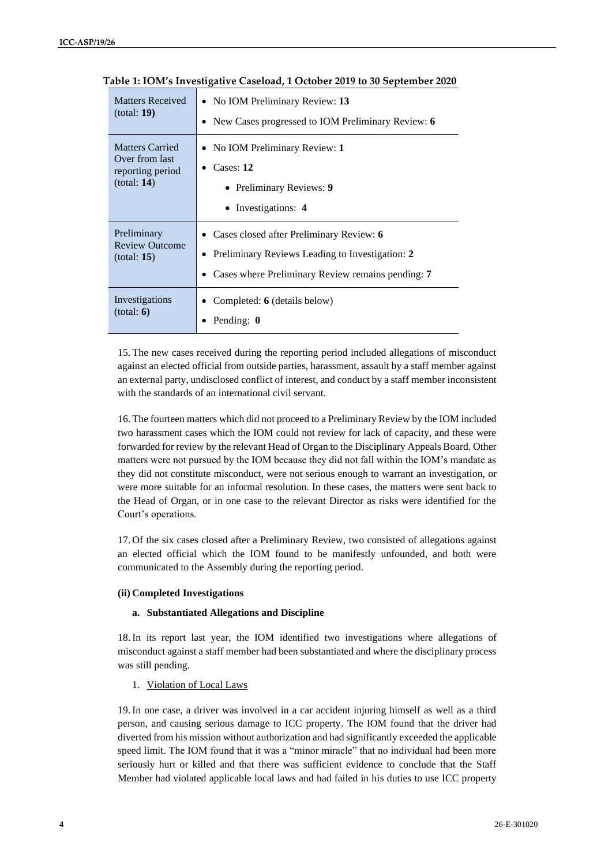| <b>Matters Received</b> | • No IOM Preliminary Review: 13                     |
|-------------------------|-----------------------------------------------------|
| (total: 19)             | • New Cases progressed to IOM Preliminary Review: 6 |
| <b>Matters Carried</b>  | • No IOM Preliminary Review: 1                      |
| Over from last          | • Cases: $12$                                       |
| reporting period        | • Preliminary Reviews: 9                            |
| (total: 14)             | • Investigations: 4                                 |
| Preliminary             | • Cases closed after Preliminary Review: 6          |
| <b>Review Outcome</b>   | • Preliminary Reviews Leading to Investigation: 2   |
| (total: 15)             | • Cases where Preliminary Review remains pending: 7 |
| Investigations          | Completed: 6 (details below)                        |
| (total: 6)              | Pending: 0                                          |

**Table 1: IOM's Investigative Caseload, 1 October 2019 to 30 September 2020**

15. The new cases received during the reporting period included allegations of misconduct against an elected official from outside parties, harassment, assault by a staff member against an external party, undisclosed conflict of interest, and conduct by a staff member inconsistent with the standards of an international civil servant.

16. The fourteen matters which did not proceed to a Preliminary Review by the IOM included two harassment cases which the IOM could not review for lack of capacity, and these were forwarded for review by the relevant Head of Organ to the Disciplinary Appeals Board. Other matters were not pursued by the IOM because they did not fall within the IOM's mandate as they did not constitute misconduct, were not serious enough to warrant an investigation, or were more suitable for an informal resolution. In these cases, the matters were sent back to the Head of Organ, or in one case to the relevant Director as risks were identified for the Court's operations.

17. Of the six cases closed after a Preliminary Review, two consisted of allegations against an elected official which the IOM found to be manifestly unfounded, and both were communicated to the Assembly during the reporting period.

#### **(ii) Completed Investigations**

#### **a. Substantiated Allegations and Discipline**

18.In its report last year, the IOM identified two investigations where allegations of misconduct against a staff member had been substantiated and where the disciplinary process was still pending.

1. Violation of Local Laws

19.In one case, a driver was involved in a car accident injuring himself as well as a third person, and causing serious damage to ICC property. The IOM found that the driver had diverted from his mission without authorization and had significantly exceeded the applicable speed limit. The IOM found that it was a "minor miracle" that no individual had been more seriously hurt or killed and that there was sufficient evidence to conclude that the Staff Member had violated applicable local laws and had failed in his duties to use ICC property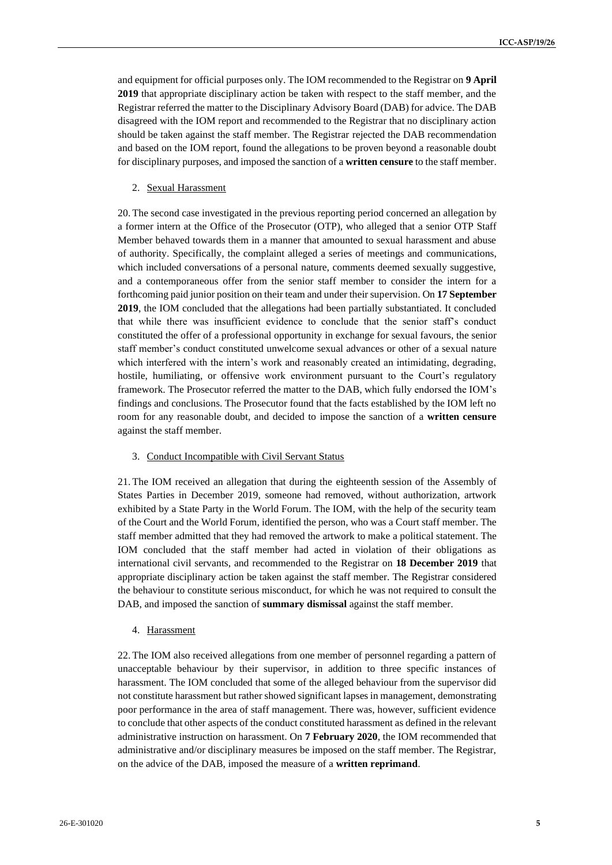and equipment for official purposes only. The IOM recommended to the Registrar on **9 April 2019** that appropriate disciplinary action be taken with respect to the staff member, and the Registrar referred the matter to the Disciplinary Advisory Board (DAB) for advice. The DAB disagreed with the IOM report and recommended to the Registrar that no disciplinary action should be taken against the staff member. The Registrar rejected the DAB recommendation and based on the IOM report, found the allegations to be proven beyond a reasonable doubt for disciplinary purposes, and imposed the sanction of a **written censure** to the staff member.

#### 2. Sexual Harassment

20. The second case investigated in the previous reporting period concerned an allegation by a former intern at the Office of the Prosecutor (OTP), who alleged that a senior OTP Staff Member behaved towards them in a manner that amounted to sexual harassment and abuse of authority. Specifically, the complaint alleged a series of meetings and communications, which included conversations of a personal nature, comments deemed sexually suggestive, and a contemporaneous offer from the senior staff member to consider the intern for a forthcoming paid junior position on their team and under their supervision. On **17 September 2019**, the IOM concluded that the allegations had been partially substantiated. It concluded that while there was insufficient evidence to conclude that the senior staff's conduct constituted the offer of a professional opportunity in exchange for sexual favours, the senior staff member's conduct constituted unwelcome sexual advances or other of a sexual nature which interfered with the intern's work and reasonably created an intimidating, degrading, hostile, humiliating, or offensive work environment pursuant to the Court's regulatory framework. The Prosecutor referred the matter to the DAB, which fully endorsed the IOM's findings and conclusions. The Prosecutor found that the facts established by the IOM left no room for any reasonable doubt, and decided to impose the sanction of a **written censure** against the staff member.

#### 3. Conduct Incompatible with Civil Servant Status

21. The IOM received an allegation that during the eighteenth session of the Assembly of States Parties in December 2019, someone had removed, without authorization, artwork exhibited by a State Party in the World Forum. The IOM, with the help of the security team of the Court and the World Forum, identified the person, who was a Court staff member. The staff member admitted that they had removed the artwork to make a political statement. The IOM concluded that the staff member had acted in violation of their obligations as international civil servants, and recommended to the Registrar on **18 December 2019** that appropriate disciplinary action be taken against the staff member. The Registrar considered the behaviour to constitute serious misconduct, for which he was not required to consult the DAB, and imposed the sanction of **summary dismissal** against the staff member.

#### 4. Harassment

22. The IOM also received allegations from one member of personnel regarding a pattern of unacceptable behaviour by their supervisor, in addition to three specific instances of harassment. The IOM concluded that some of the alleged behaviour from the supervisor did not constitute harassment but rather showed significant lapses in management, demonstrating poor performance in the area of staff management. There was, however, sufficient evidence to conclude that other aspects of the conduct constituted harassment as defined in the relevant administrative instruction on harassment. On **7 February 2020**, the IOM recommended that administrative and/or disciplinary measures be imposed on the staff member. The Registrar, on the advice of the DAB, imposed the measure of a **written reprimand**.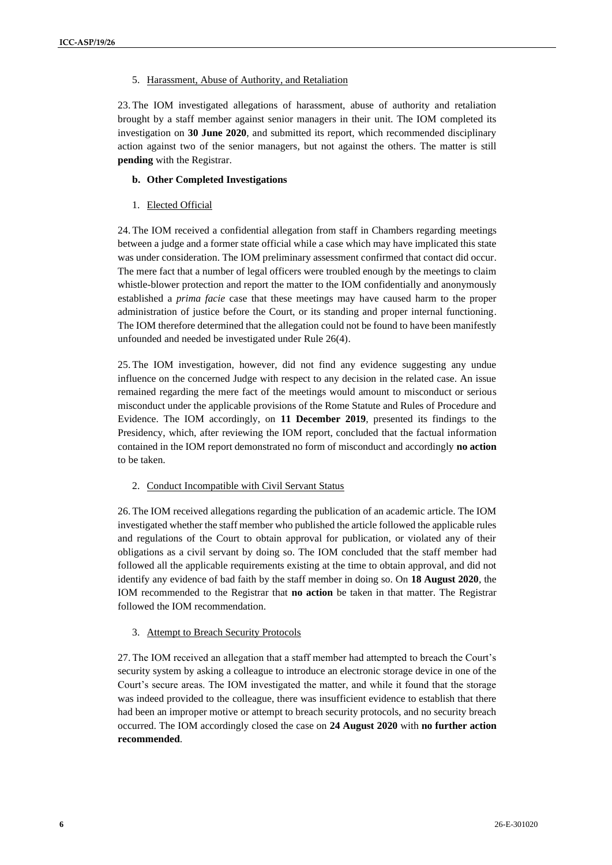#### 5. Harassment, Abuse of Authority, and Retaliation

23. The IOM investigated allegations of harassment, abuse of authority and retaliation brought by a staff member against senior managers in their unit. The IOM completed its investigation on **30 June 2020**, and submitted its report, which recommended disciplinary action against two of the senior managers, but not against the others. The matter is still **pending** with the Registrar.

#### **b. Other Completed Investigations**

1. Elected Official

24. The IOM received a confidential allegation from staff in Chambers regarding meetings between a judge and a former state official while a case which may have implicated this state was under consideration. The IOM preliminary assessment confirmed that contact did occur. The mere fact that a number of legal officers were troubled enough by the meetings to claim whistle-blower protection and report the matter to the IOM confidentially and anonymously established a *prima facie* case that these meetings may have caused harm to the proper administration of justice before the Court, or its standing and proper internal functioning. The IOM therefore determined that the allegation could not be found to have been manifestly unfounded and needed be investigated under Rule 26(4).

25. The IOM investigation, however, did not find any evidence suggesting any undue influence on the concerned Judge with respect to any decision in the related case. An issue remained regarding the mere fact of the meetings would amount to misconduct or serious misconduct under the applicable provisions of the Rome Statute and Rules of Procedure and Evidence. The IOM accordingly, on **11 December 2019**, presented its findings to the Presidency, which, after reviewing the IOM report, concluded that the factual information contained in the IOM report demonstrated no form of misconduct and accordingly **no action** to be taken.

#### 2. Conduct Incompatible with Civil Servant Status

26. The IOM received allegations regarding the publication of an academic article. The IOM investigated whether the staff member who published the article followed the applicable rules and regulations of the Court to obtain approval for publication, or violated any of their obligations as a civil servant by doing so. The IOM concluded that the staff member had followed all the applicable requirements existing at the time to obtain approval, and did not identify any evidence of bad faith by the staff member in doing so. On **18 August 2020**, the IOM recommended to the Registrar that **no action** be taken in that matter. The Registrar followed the IOM recommendation.

#### 3. Attempt to Breach Security Protocols

27. The IOM received an allegation that a staff member had attempted to breach the Court's security system by asking a colleague to introduce an electronic storage device in one of the Court's secure areas. The IOM investigated the matter, and while it found that the storage was indeed provided to the colleague, there was insufficient evidence to establish that there had been an improper motive or attempt to breach security protocols, and no security breach occurred. The IOM accordingly closed the case on **24 August 2020** with **no further action recommended**.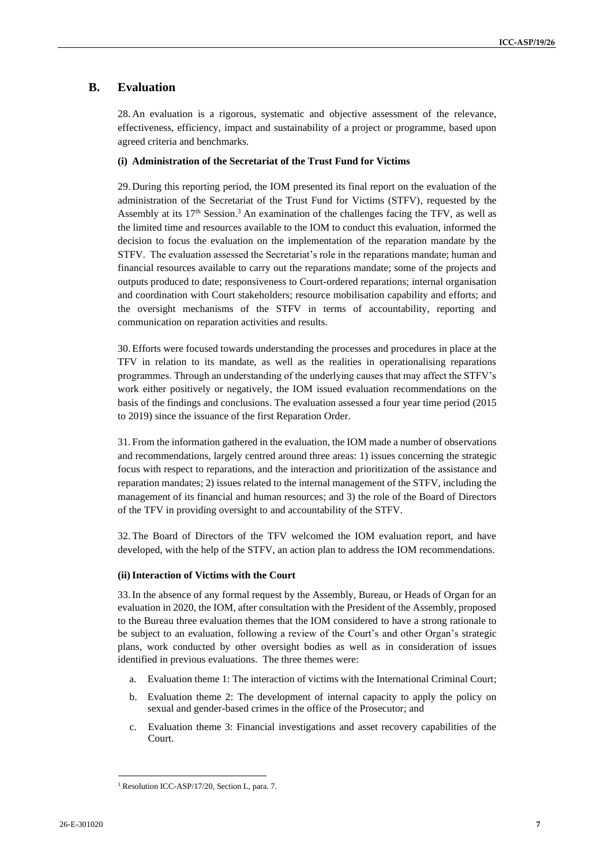## **B. Evaluation**

28. An evaluation is a rigorous, systematic and objective assessment of the relevance, effectiveness, efficiency, impact and sustainability of a project or programme, based upon agreed criteria and benchmarks.

#### **(i) Administration of the Secretariat of the Trust Fund for Victims**

29. During this reporting period, the IOM presented its final report on the evaluation of the administration of the Secretariat of the Trust Fund for Victims (STFV), requested by the Assembly at its  $17<sup>th</sup>$  Session.<sup>3</sup> An examination of the challenges facing the TFV, as well as the limited time and resources available to the IOM to conduct this evaluation, informed the decision to focus the evaluation on the implementation of the reparation mandate by the STFV. The evaluation assessed the Secretariat's role in the reparations mandate; human and financial resources available to carry out the reparations mandate; some of the projects and outputs produced to date; responsiveness to Court-ordered reparations; internal organisation and coordination with Court stakeholders; resource mobilisation capability and efforts; and the oversight mechanisms of the STFV in terms of accountability, reporting and communication on reparation activities and results.

30. Efforts were focused towards understanding the processes and procedures in place at the TFV in relation to its mandate, as well as the realities in operationalising reparations programmes. Through an understanding of the underlying causes that may affect the STFV's work either positively or negatively, the IOM issued evaluation recommendations on the basis of the findings and conclusions. The evaluation assessed a four year time period (2015 to 2019) since the issuance of the first Reparation Order.

31. From the information gathered in the evaluation, the IOM made a number of observations and recommendations, largely centred around three areas: 1) issues concerning the strategic focus with respect to reparations, and the interaction and prioritization of the assistance and reparation mandates; 2) issues related to the internal management of the STFV, including the management of its financial and human resources; and 3) the role of the Board of Directors of the TFV in providing oversight to and accountability of the STFV.

32. The Board of Directors of the TFV welcomed the IOM evaluation report, and have developed, with the help of the STFV, an action plan to address the IOM recommendations.

#### **(ii)Interaction of Victims with the Court**

33.In the absence of any formal request by the Assembly, Bureau, or Heads of Organ for an evaluation in 2020, the IOM, after consultation with the President of the Assembly, proposed to the Bureau three evaluation themes that the IOM considered to have a strong rationale to be subject to an evaluation, following a review of the Court's and other Organ's strategic plans, work conducted by other oversight bodies as well as in consideration of issues identified in previous evaluations. The three themes were:

- a. Evaluation theme 1: The interaction of victims with the International Criminal Court;
- b. Evaluation theme 2: The development of internal capacity to apply the policy on sexual and gender-based crimes in the office of the Prosecutor; and
- c. Evaluation theme 3: Financial investigations and asset recovery capabilities of the Court.

<sup>3</sup> Resolution ICC-ASP/17/20, Section L, para. 7.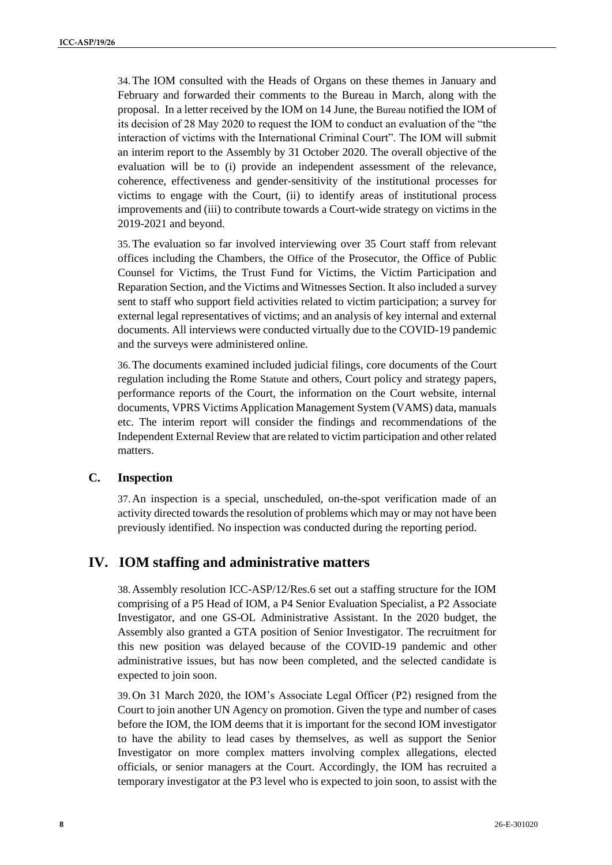34.The IOM consulted with the Heads of Organs on these themes in January and February and forwarded their comments to the Bureau in March, along with the proposal. In a letter received by the IOM on 14 June, the Bureau notified the IOM of its decision of 28 May 2020 to request the IOM to conduct an evaluation of the "the interaction of victims with the International Criminal Court". The IOM will submit an interim report to the Assembly by 31 October 2020. The overall objective of the evaluation will be to (i) provide an independent assessment of the relevance, coherence, effectiveness and gender-sensitivity of the institutional processes for victims to engage with the Court, (ii) to identify areas of institutional process improvements and (iii) to contribute towards a Court-wide strategy on victims in the 2019-2021 and beyond.

35.The evaluation so far involved interviewing over 35 Court staff from relevant offices including the Chambers, the Office of the Prosecutor, the Office of Public Counsel for Victims, the Trust Fund for Victims, the Victim Participation and Reparation Section, and the Victims and Witnesses Section. It also included a survey sent to staff who support field activities related to victim participation; a survey for external legal representatives of victims; and an analysis of key internal and external documents. All interviews were conducted virtually due to the COVID-19 pandemic and the surveys were administered online.

36.The documents examined included judicial filings, core documents of the Court regulation including the Rome Statute and others, Court policy and strategy papers, performance reports of the Court, the information on the Court website, internal documents, VPRS Victims Application Management System (VAMS) data, manuals etc. The interim report will consider the findings and recommendations of the Independent External Review that are related to victim participation and other related matters.

### **C. Inspection**

37.An inspection is a special, unscheduled, on-the-spot verification made of an activity directed towards the resolution of problems which may or may not have been previously identified. No inspection was conducted during the reporting period.

## **IV. IOM staffing and administrative matters**

38.Assembly resolution ICC-ASP/12/Res.6 set out a staffing structure for the IOM comprising of a P5 Head of IOM, a P4 Senior Evaluation Specialist, a P2 Associate Investigator, and one GS-OL Administrative Assistant. In the 2020 budget, the Assembly also granted a GTA position of Senior Investigator. The recruitment for this new position was delayed because of the COVID-19 pandemic and other administrative issues, but has now been completed, and the selected candidate is expected to join soon.

39.On 31 March 2020, the IOM's Associate Legal Officer (P2) resigned from the Court to join another UN Agency on promotion. Given the type and number of cases before the IOM, the IOM deems that it is important for the second IOM investigator to have the ability to lead cases by themselves, as well as support the Senior Investigator on more complex matters involving complex allegations, elected officials, or senior managers at the Court. Accordingly, the IOM has recruited a temporary investigator at the P3 level who is expected to join soon, to assist with the